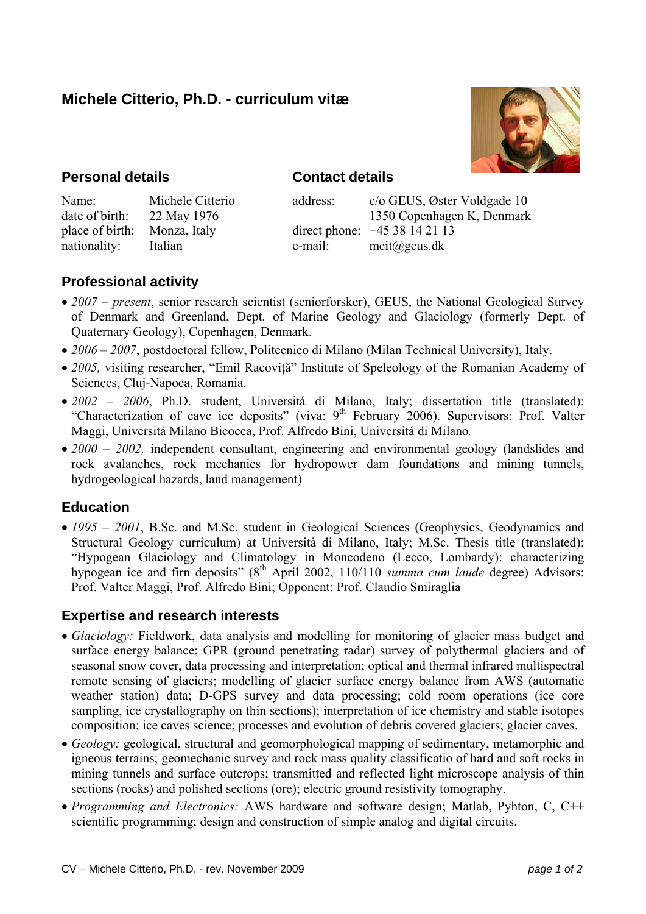# **Michele Citterio, Ph.D. - curriculum vitæ**



## **Personal details**

### **Contact details**

| Name:           | Michele Citterio |
|-----------------|------------------|
| date of birth:  | 22 May 1976      |
| place of birth: | Monza, Italy     |
| nationality:    | Italian          |

address: c/o GEUS, Øster Voldgade 10 1350 Copenhagen K, Denmark direct phone: +45 38 14 21 13 e-mail: mcit@geus.dk

## **Professional activity**

- *2007 present*, senior research scientist (seniorforsker), GEUS, the National Geological Survey of Denmark and Greenland, Dept. of Marine Geology and Glaciology (formerly Dept. of Quaternary Geology), Copenhagen, Denmark.
- *2006 2007*, postdoctoral fellow, Politecnico di Milano (Milan Technical University), Italy.
- 2005, visiting researcher, "Emil Racovită" Institute of Speleology of the Romanian Academy of Sciences, Cluj-Napoca, Romania.
- *2002 2006*, Ph.D. student, Universitá di Milano, Italy; dissertation title (translated): "Characterization of cave ice deposits" (viva: 9<sup>th</sup> February 2006). Supervisors: Prof. Valter Maggi, Universitá Milano Bicocca, Prof. Alfredo Bini, Universitá di Milano*.*
- 2000 2002, independent consultant, engineering and environmental geology (landslides and rock avalanches, rock mechanics for hydropower dam foundations and mining tunnels, hydrogeological hazards, land management)

## **Education**

• 1995 – 2001, B.Sc. and M.Sc. student in Geological Sciences (Geophysics, Geodynamics and Structural Geology curriculum) at Università di Milano, Italy; M.Sc. Thesis title (translated): "Hypogean Glaciology and Climatology in Moncodeno (Lecco, Lombardy): characterizing hypogean ice and firn deposits" (8<sup>th</sup> April 2002, 110/110 *summa cum laude* degree) Advisors: Prof. Valter Maggi, Prof. Alfredo Bini; Opponent: Prof. Claudio Smiraglia

### **Expertise and research interests**

- *Glaciology:* Fieldwork, data analysis and modelling for monitoring of glacier mass budget and surface energy balance; GPR (ground penetrating radar) survey of polythermal glaciers and of seasonal snow cover, data processing and interpretation; optical and thermal infrared multispectral remote sensing of glaciers; modelling of glacier surface energy balance from AWS (automatic weather station) data; D-GPS survey and data processing; cold room operations (ice core sampling, ice crystallography on thin sections); interpretation of ice chemistry and stable isotopes composition; ice caves science; processes and evolution of debris covered glaciers; glacier caves.
- *Geology:* geological, structural and geomorphological mapping of sedimentary, metamorphic and igneous terrains; geomechanic survey and rock mass quality classificatio of hard and soft rocks in mining tunnels and surface outcrops; transmitted and reflected light microscope analysis of thin sections (rocks) and polished sections (ore); electric ground resistivity tomography.
- *Programming and Electronics:* AWS hardware and software design; Matlab, Pyhton, C, C++ scientific programming; design and construction of simple analog and digital circuits.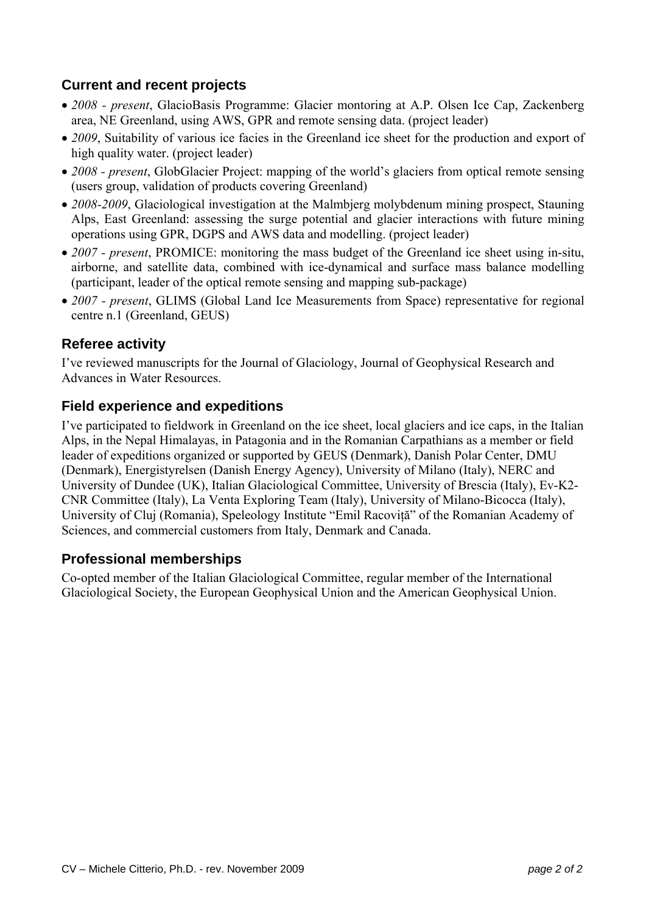# **Current and recent projects**

- *2008 present*, GlacioBasis Programme: Glacier montoring at A.P. Olsen Ice Cap, Zackenberg area, NE Greenland, using AWS, GPR and remote sensing data. (project leader)
- 2009, Suitability of various ice facies in the Greenland ice sheet for the production and export of high quality water. (project leader)
- *2008 present*, GlobGlacier Project: mapping of the world's glaciers from optical remote sensing (users group, validation of products covering Greenland)
- *2008-2009*, Glaciological investigation at the Malmbjerg molybdenum mining prospect, Stauning Alps, East Greenland: assessing the surge potential and glacier interactions with future mining operations using GPR, DGPS and AWS data and modelling. (project leader)
- *2007 present*, PROMICE: monitoring the mass budget of the Greenland ice sheet using in-situ, airborne, and satellite data, combined with ice-dynamical and surface mass balance modelling (participant, leader of the optical remote sensing and mapping sub-package)
- *2007 present*, GLIMS (Global Land Ice Measurements from Space) representative for regional centre n.1 (Greenland, GEUS)

### **Referee activity**

I've reviewed manuscripts for the Journal of Glaciology, Journal of Geophysical Research and Advances in Water Resources.

### **Field experience and expeditions**

I've participated to fieldwork in Greenland on the ice sheet, local glaciers and ice caps, in the Italian Alps, in the Nepal Himalayas, in Patagonia and in the Romanian Carpathians as a member or field leader of expeditions organized or supported by GEUS (Denmark), Danish Polar Center, DMU (Denmark), Energistyrelsen (Danish Energy Agency), University of Milano (Italy), NERC and University of Dundee (UK), Italian Glaciological Committee, University of Brescia (Italy), Ev-K2- CNR Committee (Italy), La Venta Exploring Team (Italy), University of Milano-Bicocca (Italy), University of Cluj (Romania), Speleology Institute "Emil Racoviţă" of the Romanian Academy of Sciences, and commercial customers from Italy, Denmark and Canada.

### **Professional memberships**

Co-opted member of the Italian Glaciological Committee, regular member of the International Glaciological Society, the European Geophysical Union and the American Geophysical Union.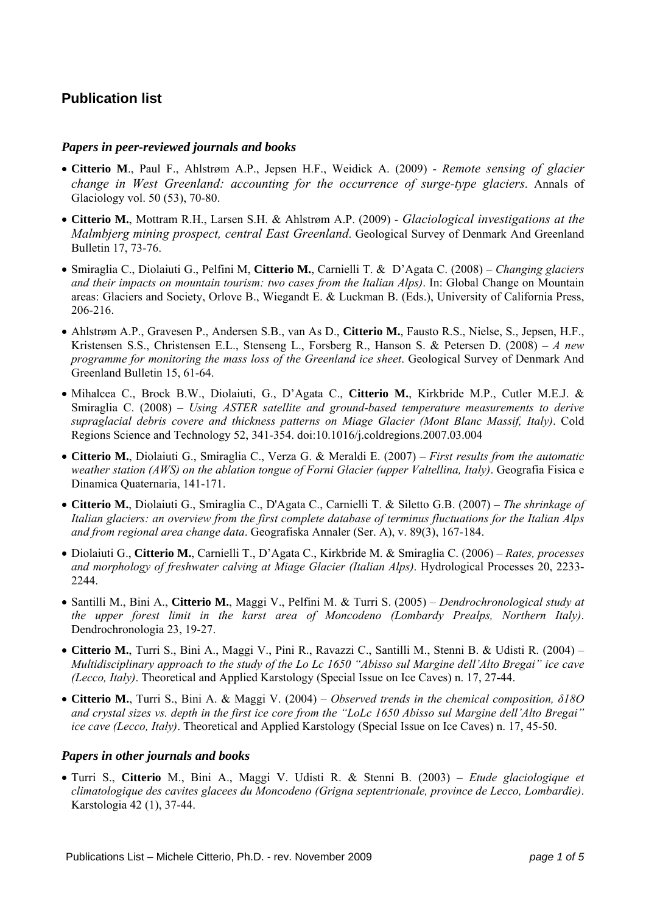## **Publication list**

#### *Papers in peer-reviewed journals and books*

- **Citterio M**., Paul F., Ahlstrøm A.P., Jepsen H.F., Weidick A. (2009) *Remote sensing of glacier change in West Greenland: accounting for the occurrence of surge-type glaciers*. Annals of Glaciology vol. 50 (53), 70-80.
- **Citterio M.**, Mottram R.H., Larsen S.H. & Ahlstrøm A.P. (2009) *Glaciological investigations at the Malmbjerg mining prospect, central East Greenland*. Geological Survey of Denmark And Greenland Bulletin 17, 73-76.
- Smiraglia C., Diolaiuti G., Pelfini M, **Citterio M.**, Carnielli T. & D'Agata C. (2008) *Changing glaciers and their impacts on mountain tourism: two cases from the Italian Alps)*. In: Global Change on Mountain areas: Glaciers and Society, Orlove B., Wiegandt E. & Luckman B. (Eds.), University of California Press, 206-216.
- Ahlstrøm A.P., Gravesen P., Andersen S.B., van As D., **Citterio M.**, Fausto R.S., Nielse, S., Jepsen, H.F., Kristensen S.S., Christensen E.L., Stenseng L., Forsberg R., Hanson S. & Petersen D. (2008) – *A new programme for monitoring the mass loss of the Greenland ice sheet*. Geological Survey of Denmark And Greenland Bulletin 15, 61-64.
- Mihalcea C., Brock B.W., Diolaiuti, G., D'Agata C., **Citterio M.**, Kirkbride M.P., Cutler M.E.J. & Smiraglia C. (2008) – *Using ASTER satellite and ground-based temperature measurements to derive supraglacial debris covere and thickness patterns on Miage Glacier (Mont Blanc Massif, Italy)*. Cold Regions Science and Technology 52, 341-354. doi:10.1016/j.coldregions.2007.03.004
- **Citterio M.**, Diolaiuti G., Smiraglia C., Verza G. & Meraldi E. (2007) *First results from the automatic weather station (AWS) on the ablation tongue of Forni Glacier (upper Valtellina, Italy)*. Geografia Fisica e Dinamica Quaternaria, 141-171.
- **Citterio M.**, Diolaiuti G., Smiraglia C., D'Agata C., Carnielli T. & Siletto G.B. (2007) *The shrinkage of Italian glaciers: an overview from the first complete database of terminus fluctuations for the Italian Alps and from regional area change data*. Geografiska Annaler (Ser. A), v. 89(3), 167-184.
- Diolaiuti G., **Citterio M.**, Carnielli T., D'Agata C., Kirkbride M. & Smiraglia C. (2006) *Rates, processes and morphology of freshwater calving at Miage Glacier (Italian Alps)*. Hydrological Processes 20, 2233- 2244.
- Santilli M., Bini A., **Citterio M.**, Maggi V., Pelfini M. & Turri S. (2005) *Dendrochronological study at the upper forest limit in the karst area of Moncodeno (Lombardy Prealps, Northern Italy)*. Dendrochronologia 23, 19-27.
- **Citterio M.**, Turri S., Bini A., Maggi V., Pini R., Ravazzi C., Santilli M., Stenni B. & Udisti R. (2004) *Multidisciplinary approach to the study of the Lo Lc 1650 "Abisso sul Margine dell'Alto Bregai" ice cave (Lecco, Italy)*. Theoretical and Applied Karstology (Special Issue on Ice Caves) n. 17, 27-44.
- **Citterio M.**, Turri S., Bini A. & Maggi V. (2004) *Observed trends in the chemical composition, δ18O and crystal sizes vs. depth in the first ice core from the "LoLc 1650 Abisso sul Margine dell'Alto Bregai" ice cave (Lecco, Italy)*. Theoretical and Applied Karstology (Special Issue on Ice Caves) n. 17, 45-50.

#### *Papers in other journals and books*

• Turri S., **Citterio** M., Bini A., Maggi V. Udisti R. & Stenni B. (2003) – *Etude glaciologique et climatologique des cavites glacees du Moncodeno (Grigna septentrionale, province de Lecco, Lombardie)*. Karstologia 42 (1), 37-44.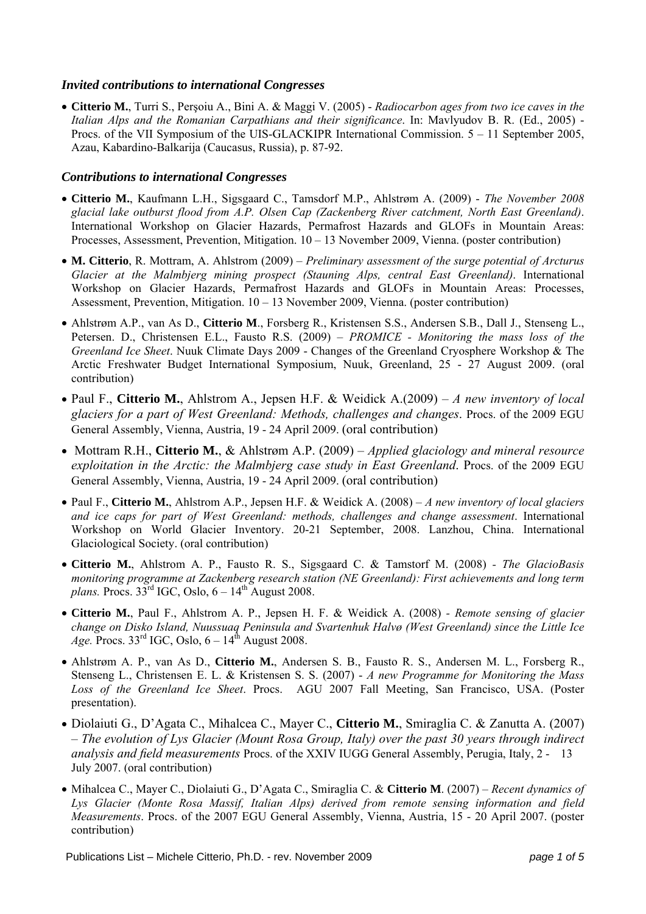#### *Invited contributions to international Congresses*

• **Citterio M.**, Turri S., Perşoiu A., Bini A. & Maggi V. (2005) - *Radiocarbon ages from two ice caves in the Italian Alps and the Romanian Carpathians and their significance*. In: Mavlyudov B. R. (Ed., 2005) - Procs. of the VII Symposium of the UIS-GLACKIPR International Commission. 5 – 11 September 2005, Azau, Kabardino-Balkarija (Caucasus, Russia), p. 87-92.

#### *Contributions to international Congresses*

- **Citterio M.**, Kaufmann L.H., Sigsgaard C., Tamsdorf M.P., Ahlstrøm A. (2009) *The November 2008 glacial lake outburst flood from A.P. Olsen Cap (Zackenberg River catchment, North East Greenland)*. International Workshop on Glacier Hazards, Permafrost Hazards and GLOFs in Mountain Areas: Processes, Assessment, Prevention, Mitigation. 10 – 13 November 2009, Vienna. (poster contribution)
- **M. Citterio**, R. Mottram, A. Ahlstrom (2009) – *Preliminary assessment of the surge potential of Arcturus Glacier at the Malmbjerg mining prospect (Stauning Alps, central East Greenland)*. International Workshop on Glacier Hazards, Permafrost Hazards and GLOFs in Mountain Areas: Processes, Assessment, Prevention, Mitigation. 10 – 13 November 2009, Vienna. (poster contribution)
- Ahlstrøm A.P., van As D., **Citterio M**., Forsberg R., Kristensen S.S., Andersen S.B., Dall J., Stenseng L., Petersen. D., Christensen E.L., Fausto R.S. (2009) – *PROMICE - Monitoring the mass loss of the Greenland Ice Sheet*. Nuuk Climate Days 2009 - Changes of the Greenland Cryosphere Workshop & The Arctic Freshwater Budget International Symposium, Nuuk, Greenland, 25 - 27 August 2009. (oral contribution)
- Paul F., **Citterio M.**, Ahlstrom A., Jepsen H.F. & Weidick A.(2009) *A new inventory of local glaciers for a part of West Greenland: Methods, challenges and changes*. Procs. of the 2009 EGU General Assembly, Vienna, Austria, 19 - 24 April 2009. (oral contribution)
- Mottram R.H., **Citterio M.**, & Ahlstrøm A.P. (2009) *Applied glaciology and mineral resource exploitation in the Arctic: the Malmbjerg case study in East Greenland*. Procs. of the 2009 EGU General Assembly, Vienna, Austria, 19 - 24 April 2009. (oral contribution)
- Paul F., **Citterio M.**, Ahlstrom A.P., Jepsen H.F. & Weidick A. (2008) – *A new inventory of local glaciers and ice caps for part of West Greenland: methods, challenges and change assessment*. International Workshop on World Glacier Inventory. 20-21 September, 2008. Lanzhou, China. International Glaciological Society. (oral contribution)
- **Citterio M.**, Ahlstrom A. P., Fausto R. S., Sigsgaard C. & Tamstorf M. (2008) *The GlacioBasis monitoring programme at Zackenberg research station (NE Greenland): First achievements and long term plans.* Procs.  $33^{\text{rd}}$  IGC, Oslo,  $6 - 14^{\text{th}}$  August 2008.
- **Citterio M.**, Paul F., Ahlstrom A. P., Jepsen H. F. & Weidick A. (2008) *Remote sensing of glacier change on Disko Island, Nuussuaq Peninsula and Svartenhuk Halvø (West Greenland) since the Little Ice Age.* Procs. 33<sup>rd</sup> IGC, Oslo,  $6-14^{\text{th}}$  August 2008.
- Ahlstrøm A. P., van As D., **Citterio M.**, Andersen S. B., Fausto R. S., Andersen M. L., Forsberg R., Stenseng L., Christensen E. L. & Kristensen S. S. (2007) - *A new Programme for Monitoring the Mass Loss of the Greenland Ice Sheet*. Procs. AGU 2007 Fall Meeting, San Francisco, USA. (Poster presentation).
- Diolaiuti G., D'Agata C., Mihalcea C., Mayer C., **Citterio M.**, Smiraglia C. & Zanutta A. (2007) – *The evolution of Lys Glacier (Mount Rosa Group, Italy) over the past 30 years through indirect analysis and field measurements* Procs. of the XXIV IUGG General Assembly, Perugia, Italy, 2 - 13 July 2007. (oral contribution)
- Mihalcea C., Mayer C., Diolaiuti G., D'Agata C., Smiraglia C. & **Citterio M**. (2007) *Recent dynamics of Lys Glacier (Monte Rosa Massif, Italian Alps) derived from remote sensing information and field Measurements*. Procs. of the 2007 EGU General Assembly, Vienna, Austria, 15 - 20 April 2007. (poster contribution)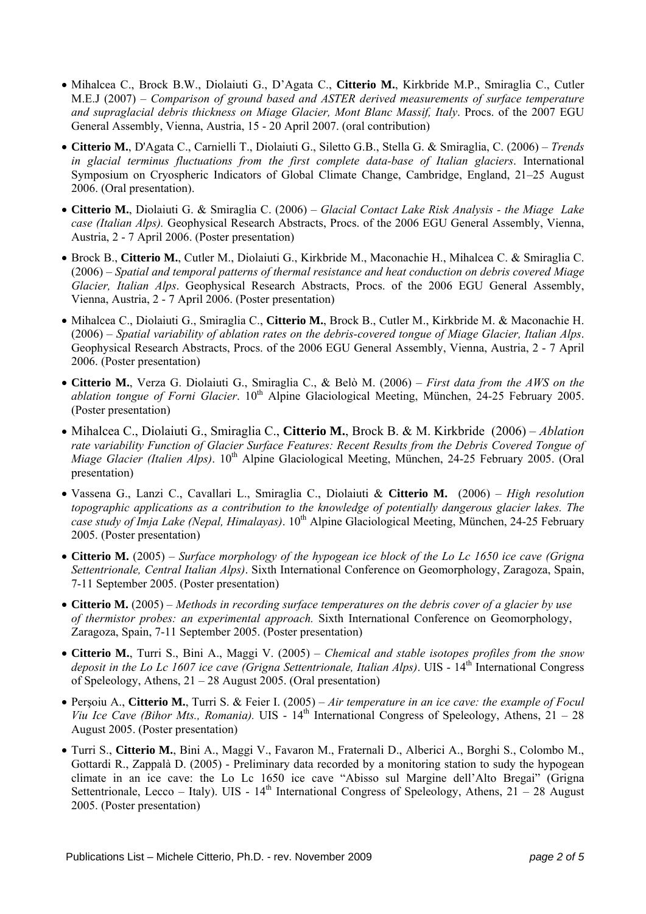- Mihalcea C., Brock B.W., Diolaiuti G., D'Agata C., **Citterio M.**, Kirkbride M.P., Smiraglia C., Cutler M.E.J (2007) – *Comparison of ground based and ASTER derived measurements of surface temperature*  and supraglacial debris thickness on Miage Glacier, Mont Blanc Massif, Italy. Procs. of the 2007 EGU General Assembly, Vienna, Austria, 15 - 20 April 2007. (oral contribution)
- **Citterio M.**, D'Agata C., Carnielli T., Diolaiuti G., Siletto G.B., Stella G. & Smiraglia, C. (2006) *Trends in glacial terminus fluctuations from the first complete data-base of Italian glaciers*. International Symposium on Cryospheric Indicators of Global Climate Change, Cambridge, England, 21–25 August 2006. (Oral presentation).
- **Citterio M.**, Diolaiuti G. & Smiraglia C. (2006) *Glacial Contact Lake Risk Analysis the Miage Lake case (Italian Alps).* Geophysical Research Abstracts, Procs. of the 2006 EGU General Assembly, Vienna, Austria, 2 - 7 April 2006. (Poster presentation)
- Brock B., **Citterio M.**, Cutler M., Diolaiuti G., Kirkbride M., Maconachie H., Mihalcea C. & Smiraglia C. (2006) – *Spatial and temporal patterns of thermal resistance and heat conduction on debris covered Miage Glacier, Italian Alps*. Geophysical Research Abstracts, Procs. of the 2006 EGU General Assembly, Vienna, Austria, 2 - 7 April 2006. (Poster presentation)
- Mihalcea C., Diolaiuti G., Smiraglia C., **Citterio M.**, Brock B., Cutler M., Kirkbride M. & Maconachie H. (2006) – *Spatial variability of ablation rates on the debris-covered tongue of Miage Glacier, Italian Alps*. Geophysical Research Abstracts, Procs. of the 2006 EGU General Assembly, Vienna, Austria, 2 - 7 April 2006. (Poster presentation)
- **Citterio M.**, Verza G. Diolaiuti G., Smiraglia C., & Belò M. (2006) *First data from the AWS on the ablation tongue of Forni Glacier*. 10<sup>th</sup> Alpine Glaciological Meeting, München, 24-25 February 2005. (Poster presentation)
- Mihalcea C., Diolaiuti G., Smiraglia C., **Citterio M.**, Brock B. & M. Kirkbride (2006) *Ablation rate variability Function of Glacier Surface Features: Recent Results from the Debris Covered Tongue of Miage Glacier (Italien Alps)*. 10<sup>th</sup> Alpine Glaciological Meeting, München, 24-25 February 2005. (Oral presentation)
- Vassena G., Lanzi C., Cavallari L., Smiraglia C., Diolaiuti & **Citterio M.** (2006) *High resolution topographic applications as a contribution to the knowledge of potentially dangerous glacier lakes. The*  case study of Imja Lake (Nepal, Himalayas). 10<sup>th</sup> Alpine Glaciological Meeting, München, 24-25 February 2005. (Poster presentation)
- **Citterio M.** (2005) *Surface morphology of the hypogean ice block of the Lo Lc 1650 ice cave (Grigna Settentrionale, Central Italian Alps)*. Sixth International Conference on Geomorphology, Zaragoza, Spain, 7-11 September 2005. (Poster presentation)
- **Citterio M.** (2005) *Methods in recording surface temperatures on the debris cover of a glacier by use of thermistor probes: an experimental approach.* Sixth International Conference on Geomorphology, Zaragoza, Spain, 7-11 September 2005. (Poster presentation)
- **Citterio M.**, Turri S., Bini A., Maggi V. (2005) *Chemical and stable isotopes profiles from the snow*  deposit in the Lo Lc 1607 ice cave (Grigna Settentrionale, Italian Alps). UIS - 14<sup>th</sup> International Congress of Speleology, Athens, 21 – 28 August 2005. (Oral presentation)
- Perşoiu A., **Citterio M.**, Turri S. & Feier I. (2005) *Air temperature in an ice cave: the example of Focul Viu Ice Cave (Bihor Mts., Romania).* UIS - 14<sup>th</sup> International Congress of Speleology, Athens, 21 – 28 August 2005. (Poster presentation)
- Turri S., **Citterio M.**, Bini A., Maggi V., Favaron M., Fraternali D., Alberici A., Borghi S., Colombo M., Gottardi R., Zappalà D. (2005) - Preliminary data recorded by a monitoring station to sudy the hypogean climate in an ice cave: the Lo Lc 1650 ice cave "Abisso sul Margine dell'Alto Bregai" (Grigna Settentrionale, Lecco – Italy). UIS -  $14<sup>th</sup>$  International Congress of Speleology, Athens, 21 – 28 August 2005. (Poster presentation)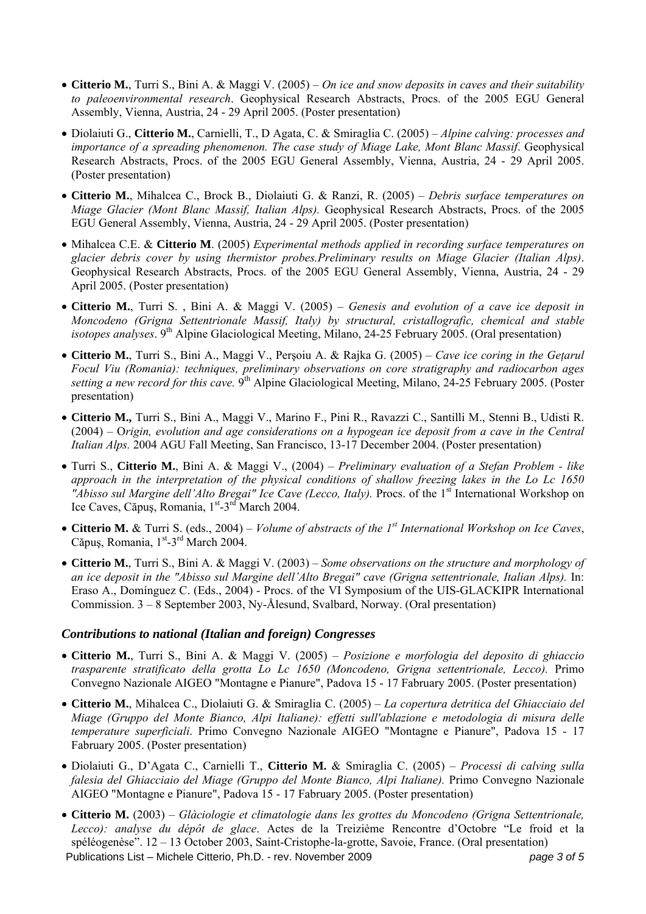- **Citterio M.**, Turri S., Bini A. & Maggi V. (2005) *On ice and snow deposits in caves and their suitability to paleoenvironmental research*. Geophysical Research Abstracts, Procs. of the 2005 EGU General Assembly, Vienna, Austria, 24 - 29 April 2005. (Poster presentation)
- Diolaiuti G., **Citterio M.**, Carnielli, T., D Agata, C. & Smiraglia C. (2005) *Alpine calving: processes and importance of a spreading phenomenon. The case study of Miage Lake, Mont Blanc Massif*. Geophysical Research Abstracts, Procs. of the 2005 EGU General Assembly, Vienna, Austria, 24 - 29 April 2005. (Poster presentation)
- **Citterio M.**, Mihalcea C., Brock B., Diolaiuti G. & Ranzi, R. (2005) *Debris surface temperatures on Miage Glacier (Mont Blanc Massif, Italian Alps).* Geophysical Research Abstracts, Procs. of the 2005 EGU General Assembly, Vienna, Austria, 24 - 29 April 2005. (Poster presentation)
- Mihalcea C.E. & **Citterio M**. (2005) *Experimental methods applied in recording surface temperatures on glacier debris cover by using thermistor probes.Preliminary results on Miage Glacier (Italian Alps)*. Geophysical Research Abstracts, Procs. of the 2005 EGU General Assembly, Vienna, Austria, 24 - 29 April 2005. (Poster presentation)
- **Citterio M.**, Turri S. , Bini A. & Maggi V. (2005) *Genesis and evolution of a cave ice deposit in Moncodeno (Grigna Settentrionale Massif, Italy) by structural, cristallografic, chemical and stable isotopes analyses*. 9<sup>th</sup> Alpine Glaciological Meeting, Milano, 24-25 February 2005. (Oral presentation)
- **Citterio M.**, Turri S., Bini A., Maggi V., Perşoiu A. & Rajka G. (2005) *Cave ice coring in the Geţarul Focul Viu (Romania): techniques, preliminary observations on core stratigraphy and radiocarbon ages setting a new record for this cave.* 9th Alpine Glaciological Meeting, Milano, 24-25 February 2005. (Poster presentation)
- **Citterio M.,** Turri S., Bini A., Maggi V., Marino F., Pini R., Ravazzi C., Santilli M., Stenni B., Udisti R. (2004) – O*rigin, evolution and age considerations on a hypogean ice deposit from a cave in the Central Italian Alps.* 2004 AGU Fall Meeting, San Francisco, 13-17 December 2004. (Poster presentation)
- Turri S., **Citterio M.**, Bini A. & Maggi V., (2004) *Preliminary evaluation of a Stefan Problem like approach in the interpretation of the physical conditions of shallow freezing lakes in the Lo Lc 1650 Abisso sul Margine dell'Alto Bregai" Ice Cave (Lecco, Italy)*. Procs. of the 1<sup>st</sup> International Workshop on Ice Caves, Căpus, Romania, 1<sup>st</sup>-3<sup>rd</sup> March 2004.
- **Citterio M.** & Turri S. (eds., 2004) *Volume of abstracts of the 1st International Workshop on Ice Caves*, Căpuș, Romania,  $1<sup>st</sup> - 3<sup>rd</sup>$  March 2004.
- **Citterio M.**, Turri S., Bini A. & Maggi V. (2003) *Some observations on the structure and morphology of an ice deposit in the "Abisso sul Margine dell'Alto Bregai" cave (Grigna settentrionale, Italian Alps).* In: Eraso A., Domínguez C. (Eds., 2004) - Procs. of the VI Symposium of the UIS-GLACKIPR International Commission. 3 – 8 September 2003, Ny-Ålesund, Svalbard, Norway. (Oral presentation)

#### *Contributions to national (Italian and foreign) Congresses*

- **Citterio M.**, Turri S., Bini A. & Maggi V. (2005) *Posizione e morfologia del deposito di ghiaccio trasparente stratificato della grotta Lo Lc 1650 (Moncodeno, Grigna settentrionale, Lecco).* Primo Convegno Nazionale AIGEO "Montagne e Pianure", Padova 15 - 17 Fabruary 2005. (Poster presentation)
- **Citterio M.**, Mihalcea C., Diolaiuti G. & Smiraglia C. (2005) *La copertura detritica del Ghiacciaio del Miage (Gruppo del Monte Bianco, Alpi Italiane): effetti sull'ablazione e metodologia di misura delle temperature superficiali*. Primo Convegno Nazionale AIGEO "Montagne e Pianure", Padova 15 - 17 Fabruary 2005. (Poster presentation)
- Diolaiuti G., D'Agata C., Carnielli T., **Citterio M.** & Smiraglia C. (2005) *Processi di calving sulla falesia del Ghiacciaio del Miage (Gruppo del Monte Bianco, Alpi Italiane).* Primo Convegno Nazionale AIGEO "Montagne e Pianure", Padova 15 - 17 Fabruary 2005. (Poster presentation)
- Publications List Michele Citterio, Ph.D. rev. November 2009 *page 3 of 5*  • **Citterio M.** (2003) – *Glàciologie et climatologie dans les grottes du Moncodeno (Grigna Settentrionale, Lecco): analyse du dépôt de glace*. Actes de la Treizième Rencontre d'Octobre "Le froid et la spéléogenèse". 12 – 13 October 2003, Saint-Cristophe-la-grotte, Savoie, France. (Oral presentation)